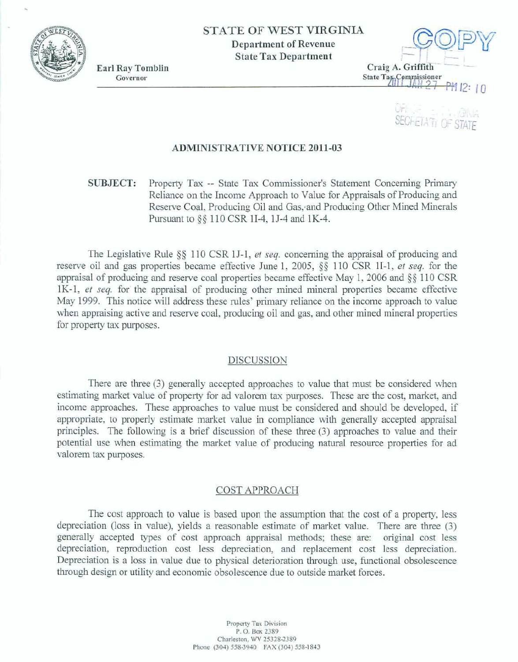

**Earl Rav Tomblin** 



UF. **SECFETATI OF** 

# **ADMINISTRATIVE NOTICE 2011-03**

**SUBJECT: Property Tax** -- **State** Tax Commissioner's Statement Concerning **Primary**  Reliance on the Income **Approach to** Value for **Appraisals of** Producing and Reserve Coal, Producing Oil and Gas, and Producing Other Mined Minerals Pursuant to §§ 110 CSR 1I-4, 1J-4 and 1K-4.

The Legislative Rule  $\S$  110 CSR 1J-1, *et seq.* concerning the appraisal of producing and **reserve oil and gas properties became effective June 1, 2005, §§ 110 CSR 1I-1,** *et seq.* **for the appraisal of** producing and reserve **coal properties** became **effective** May 1, 2006 **and** *\$5* 11 **0 CSR**  1K-1, *et seq.* for the appraisal of producing other mined mineral properties became effective **May 1999.** This notice will address **these** rules' **primary** reliance on **the** income approach **to** value when **appraising** active and **reserve** coal, producing oil and gas, and other mined mined **properties**  for **property** tax purposes.

## DISCUSSION

There **are** three **(3)** generally **accepted** approaches to value that must be considered when estimating market value of **property** for **ad** valorem tax **purposes.** These *are* the cost, **market, and**  income **approaches.** These **approaches** *to* value must be considered and should be developed, **if appropriate,** to **properly** estimate **rnarket** value in compliance with **generally** accepted **appraisaI priaciples.** The following **is a** brief discussion of these three **(3)** approaches to value and their potential use when estimating the market value of producing natural resource **properties** for **ad**  valorem tax **purposes.** 

## **COST** APPROACH

The **cost** approach **to** value **is** based upon the assumption that **the** cost of a property, **less depreciation** (loss in value), yields a **reasonable estimate of market** value. There are **three (3)**  generally accepted types of cost approach appraisal methods; these are: original cost less depreciation, reproduction cost less depreciation, and replacement cost less depreciation. **Depreciation is a** Ioss **in value due** to **physical** deterioration though use, fmctiod obsolescence through design or utility and economic obsolescence due **to** outside market **forces.**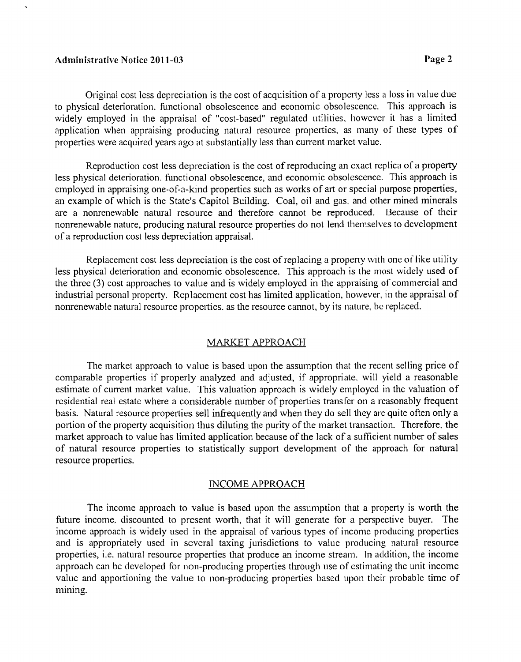# Administrative Notice 201 1-03 **Page 2**

Original cost less depreciation is the cost of acquisition of a property less a loss in value due to physical deterioration, functional obsolescence and economic obsolescence. This approach is widely employed in the appraisal of "cost-based" regulated utilities, however it has a limited application when appraising producing natural resource properties, as many of these types of properties were acquired years ago at substantially less than current market value.

Reproduction cost less depreciation is the cost of reproducing an cxact replica of a property less physical deterioration. functional obsolescence, and economic obsolescence. This approach is employed in appraising one-of-a-kind properties such as works of art or special purpose properties, an example of which is the State's Capitol Building. Coal, oil and gas. and other mined minerals are a nonrenewable natural resource and therefore cannot be reproduced. Because of their nonrenewable nature, producing natural resource properties do not lend themselves to development of a reproduction cost less depreciation appraisal.

Replacement cost less depreciation is the cost of replacing a property with one of like utility less physical deterioration and economic obsolescence. This approach is the most widely used of the three (3) cost approaches to value and is widely employed in the appraising of commercial and industrial personal property. Replacement cost has limited application, however, in the appraisal of nonrenewable natural resource properties, as the resource cannot, by its nature, be replaced.

## MARKET APPROACH

The market approach to value is based upon the assumption that the recent selling price of comparable properties if properly analyzed and adjusted, if appropriate, will yield a reasonable estimate of current market value. This valuation approach is widely employed in the valuation of residential real estate where a considerable number of properties transfer on a reasonably frequent basis. Natural resource properties sell infrequently and when they do sell they are quite often only a portion of the property acquisition thus diluting the purity of the market transaction. Therefore, the market approach to value has limited application because of the lack of a sufficient number of sales of natural resource properties to statistically support development of the approach for natural resource properties.

#### INCOME APPROACH

The income approach to value is based upon the assumption that a property is worth the future income. discounted to present worth, that it will generate for a perspective buyer. The income approach is widely used in the appraisal of various types of income producing properties and is appropriately used in several taxing jurisdictions to value producing natural resource properties, i.c. natural resource properties that produce an income stream. In addition, the income approach can be developed for non-producing properties through use of estimating the unit income value and apportioning the value to non-producing properties based upon their probable time of mining.